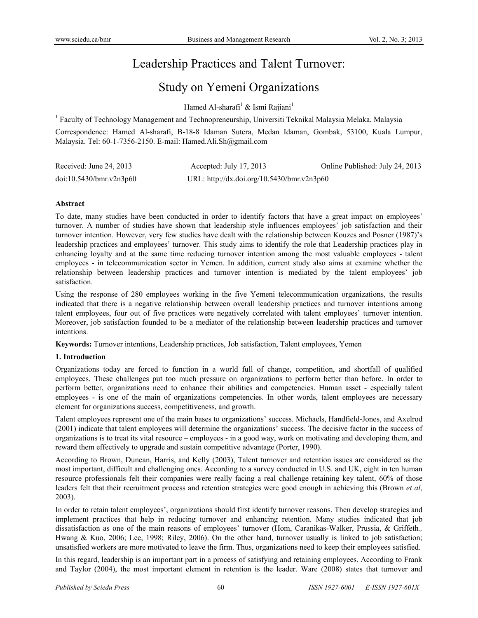# Leadership Practices and Talent Turnover:

# Study on Yemeni Organizations

Hamed Al-sharafi<sup>1</sup> & Ismi Rajiani<sup>1</sup>

<sup>1</sup> Faculty of Technology Management and Technopreneurship, Universiti Teknikal Malaysia Melaka, Malaysia

Correspondence: Hamed Al-sharafi, B-18-8 Idaman Sutera, Medan Idaman, Gombak, 53100, Kuala Lumpur, Malaysia. Tel: 60-1-7356-2150. E-mail: Hamed.Ali.Sh@gmail.com

| Received: June 24, 2013 | Accepted: July 17, 2013                    | Online Published: July 24, 2013 |
|-------------------------|--------------------------------------------|---------------------------------|
| doi:10.5430/bmr.v2n3p60 | URL: http://dx.doi.org/10.5430/bmr.v2n3p60 |                                 |

## **Abstract**

To date, many studies have been conducted in order to identify factors that have a great impact on employees' turnover. A number of studies have shown that leadership style influences employees' job satisfaction and their turnover intention. However, very few studies have dealt with the relationship between Kouzes and Posner (1987)'s leadership practices and employees' turnover. This study aims to identify the role that Leadership practices play in enhancing loyalty and at the same time reducing turnover intention among the most valuable employees - talent employees - in telecommunication sector in Yemen. In addition, current study also aims at examine whether the relationship between leadership practices and turnover intention is mediated by the talent employees' job satisfaction.

Using the response of 280 employees working in the five Yemeni telecommunication organizations, the results indicated that there is a negative relationship between overall leadership practices and turnover intentions among talent employees, four out of five practices were negatively correlated with talent employees' turnover intention. Moreover, job satisfaction founded to be a mediator of the relationship between leadership practices and turnover intentions.

**Keywords:** Turnover intentions, Leadership practices, Job satisfaction, Talent employees, Yemen

## **1. Introduction**

Organizations today are forced to function in a world full of change, competition, and shortfall of qualified employees. These challenges put too much pressure on organizations to perform better than before. In order to perform better, organizations need to enhance their abilities and competencies. Human asset - especially talent employees - is one of the main of organizations competencies. In other words, talent employees are necessary element for organizations success, competitiveness, and growth.

Talent employees represent one of the main bases to organizations' success. Michaels, Handfield-Jones, and Axelrod (2001) indicate that talent employees will determine the organizations' success. The decisive factor in the success of organizations is to treat its vital resource – employees - in a good way, work on motivating and developing them, and reward them effectively to upgrade and sustain competitive advantage (Porter, 1990).

According to Brown, Duncan, Harris, and Kelly (2003), Talent turnover and retention issues are considered as the most important, difficult and challenging ones. According to a survey conducted in U.S. and UK, eight in ten human resource professionals felt their companies were really facing a real challenge retaining key talent, 60% of those leaders felt that their recruitment process and retention strategies were good enough in achieving this (Brown *et al*, 2003).

In order to retain talent employees', organizations should first identify turnover reasons. Then develop strategies and implement practices that help in reducing turnover and enhancing retention. Many studies indicated that job dissatisfaction as one of the main reasons of employees' turnover (Hom, Caranikas-Walker, Prussia, & Griffeth*.,*  Hwang & Kuo, 2006; Lee, 1998; Riley, 2006). On the other hand, turnover usually is linked to job satisfaction; unsatisfied workers are more motivated to leave the firm. Thus, organizations need to keep their employees satisfied.

In this regard, leadership is an important part in a process of satisfying and retaining employees. According to Frank and Taylor (2004), the most important element in retention is the leader. Ware (2008) states that turnover and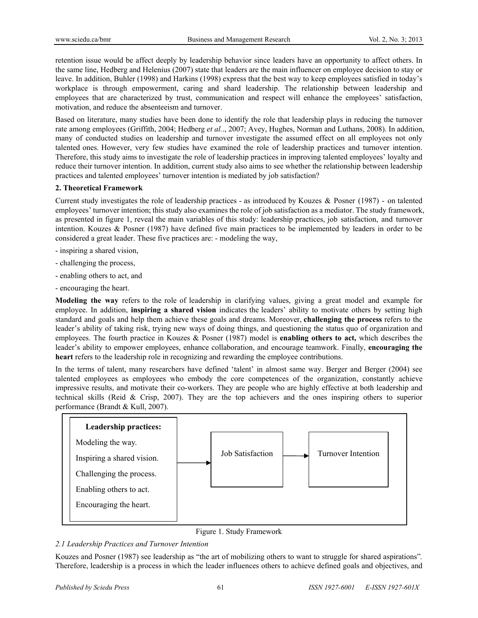retention issue would be affect deeply by leadership behavior since leaders have an opportunity to affect others. In the same line, Hedberg and Helenius (2007) state that leaders are the main influencer on employee decision to stay or leave. In addition, Buhler (1998) and Harkins (1998) express that the best way to keep employees satisfied in today's workplace is through empowerment, caring and shard leadership. The relationship between leadership and employees that are characterized by trust, communication and respect will enhance the employees' satisfaction, motivation, and reduce the absenteeism and turnover.

Based on literature, many studies have been done to identify the role that leadership plays in reducing the turnover rate among employees (Griffith, 2004; Hedberg *et al.*., 2007; Avey, Hughes, Norman and Luthans, 2008). In addition, many of conducted studies on leadership and turnover investigate the assumed effect on all employees not only talented ones. However, very few studies have examined the role of leadership practices and turnover intention. Therefore, this study aims to investigate the role of leadership practices in improving talented employees' loyalty and reduce their turnover intention. In addition, current study also aims to see whether the relationship between leadership practices and talented employees' turnover intention is mediated by job satisfaction?

## **2. Theoretical Framework**

Current study investigates the role of leadership practices - as introduced by Kouzes & Posner (1987) - on talented employees' turnover intention; this study also examines the role of job satisfaction as a mediator. The study framework, as presented in figure 1, reveal the main variables of this study: leadership practices, job satisfaction, and turnover intention. Kouzes & Posner (1987) have defined five main practices to be implemented by leaders in order to be considered a great leader. These five practices are: - modeling the way,

- inspiring a shared vision,
- challenging the process,
- enabling others to act, and
- encouraging the heart.

**Modeling the way** refers to the role of leadership in clarifying values, giving a great model and example for employee. In addition, **inspiring a shared vision** indicates the leaders' ability to motivate others by setting high standard and goals and help them achieve these goals and dreams. Moreover, **challenging the process** refers to the leader's ability of taking risk, trying new ways of doing things, and questioning the status quo of organization and employees. The fourth practice in Kouzes & Posner (1987) model is **enabling others to act,** which describes the leader's ability to empower employees, enhance collaboration, and encourage teamwork. Finally, **encouraging the heart** refers to the leadership role in recognizing and rewarding the employee contributions.

In the terms of talent, many researchers have defined 'talent' in almost same way. Berger and Berger (2004) see talented employees as employees who embody the core competences of the organization, constantly achieve impressive results, and motivate their co-workers. They are people who are highly effective at both leadership and technical skills (Reid & Crisp, 2007). They are the top achievers and the ones inspiring others to superior performance (Brandt & Kull, 2007).



Figure 1. Study Framework

## *2.1 Leadership Practices and Turnover Intention*

Kouzes and Posner (1987) see leadership as "the art of mobilizing others to want to struggle for shared aspirations"*.* Therefore, leadership is a process in which the leader influences others to achieve defined goals and objectives, and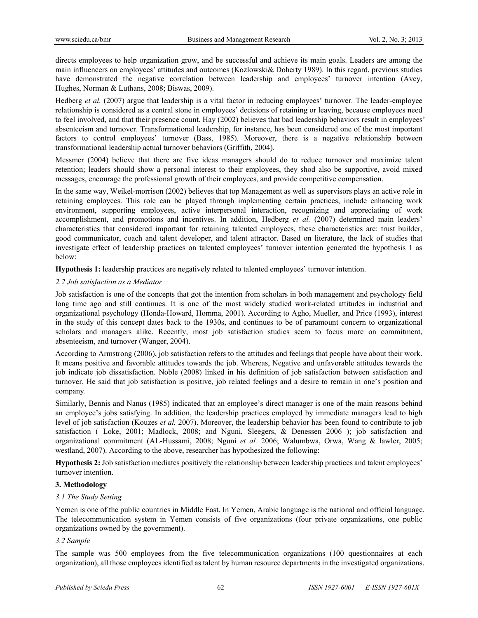directs employees to help organization grow, and be successful and achieve its main goals. Leaders are among the main influencers on employees' attitudes and outcomes (Kozlowski& Doherty 1989). In this regard, previous studies have demonstrated the negative correlation between leadership and employees' turnover intention (Avey, Hughes, Norman & Luthans, 2008; Biswas, 2009).

Hedberg *et al.* (2007) argue that leadership is a vital factor in reducing employees' turnover. The leader-employee relationship is considered as a central stone in employees' decisions of retaining or leaving, because employees need to feel involved, and that their presence count. Hay (2002) believes that bad leadership behaviors result in employees' absenteeism and turnover. Transformational leadership, for instance, has been considered one of the most important factors to control employees' turnover (Bass, 1985). Moreover, there is a negative relationship between transformational leadership actual turnover behaviors (Griffith, 2004).

Messmer (2004) believe that there are five ideas managers should do to reduce turnover and maximize talent retention; leaders should show a personal interest to their employees, they shod also be supportive, avoid mixed messages, encourage the professional growth of their employees, and provide competitive compensation.

In the same way, Weikel-morrison (2002) believes that top Management as well as supervisors plays an active role in retaining employees. This role can be played through implementing certain practices, include enhancing work environment, supporting employees, active interpersonal interaction, recognizing and appreciating of work accomplishment, and promotions and incentives. In addition, Hedberg *et al.* (2007) determined main leaders' characteristics that considered important for retaining talented employees, these characteristics are: trust builder, good communicator, coach and talent developer, and talent attractor. Based on literature, the lack of studies that investigate effect of leadership practices on talented employees' turnover intention generated the hypothesis 1 as below:

**Hypothesis 1:** leadership practices are negatively related to talented employees' turnover intention.

#### *2.2 Job satisfaction as a Mediator*

Job satisfaction is one of the concepts that got the intention from scholars in both management and psychology field long time ago and still continues. It is one of the most widely studied work-related attitudes in industrial and organizational psychology (Honda-Howard, Homma, 2001). According to Agho, Mueller, and Price (1993), interest in the study of this concept dates back to the 1930s, and continues to be of paramount concern to organizational scholars and managers alike. Recently, most job satisfaction studies seem to focus more on commitment, absenteeism, and turnover (Wanger, 2004).

According to Armstrong (2006), job satisfaction refers to the attitudes and feelings that people have about their work. It means positive and favorable attitudes towards the job. Whereas, Negative and unfavorable attitudes towards the job indicate job dissatisfaction. Noble (2008) linked in his definition of job satisfaction between satisfaction and turnover. He said that job satisfaction is positive, job related feelings and a desire to remain in one's position and company.

Similarly, Bennis and Nanus (1985) indicated that an employee's direct manager is one of the main reasons behind an employee's jobs satisfying. In addition, the leadership practices employed by immediate managers lead to high level of job satisfaction (Kouzes *et al.* 2007). Moreover, the leadership behavior has been found to contribute to job satisfaction ( Loke, 2001; Madlock, 2008; and Nguni, Sleegers, & Denessen 2006 ); job satisfaction and organizational commitment (AL-Hussami, 2008; Nguni *et al.* 2006; Walumbwa, Orwa, Wang & lawler, 2005; westland, 2007). According to the above, researcher has hypothesized the following:

**Hypothesis 2:** Job satisfaction mediates positively the relationship between leadership practices and talent employees' turnover intention.

## **3. Methodology**

## *3.1 The Study Setting*

Yemen is one of the public countries in Middle East. In Yemen, Arabic language is the national and official language. The telecommunication system in Yemen consists of five organizations (four private organizations, one public organizations owned by the government).

#### *3.2 Sample*

The sample was 500 employees from the five telecommunication organizations (100 questionnaires at each organization), all those employees identified as talent by human resource departments in the investigated organizations.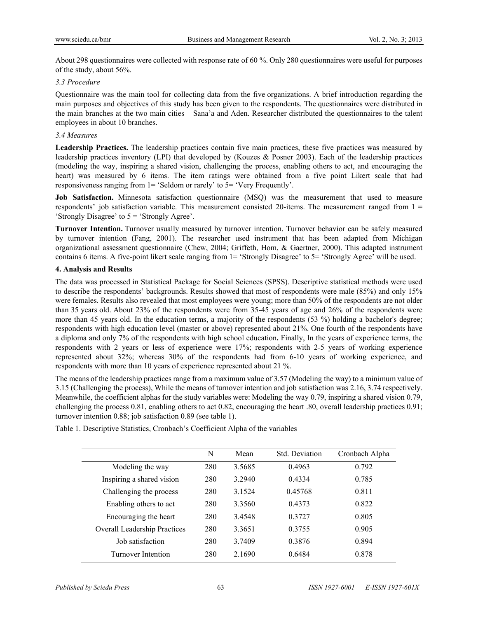About 298 questionnaires were collected with response rate of 60 %. Only 280 questionnaires were useful for purposes of the study, about 56%.

### *3.3 Procedure*

Questionnaire was the main tool for collecting data from the five organizations. A brief introduction regarding the main purposes and objectives of this study has been given to the respondents. The questionnaires were distributed in the main branches at the two main cities – Sana'a and Aden. Researcher distributed the questionnaires to the talent employees in about 10 branches.

### *3.4 Measures*

**Leadership Practices.** The leadership practices contain five main practices, these five practices was measured by leadership practices inventory (LPI) that developed by (Kouzes & Posner 2003). Each of the leadership practices (modeling the way, inspiring a shared vision, challenging the process, enabling others to act, and encouraging the heart) was measured by 6 items. The item ratings were obtained from a five point Likert scale that had responsiveness ranging from 1= 'Seldom or rarely' to 5= 'Very Frequently'.

**Job Satisfaction.** Minnesota satisfaction questionnaire (MSQ) was the measurement that used to measure respondents' job satisfaction variable. This measurement consisted 20-items. The measurement ranged from  $1 =$ 'Strongly Disagree' to 5 = 'Strongly Agree'.

**Turnover Intention.** Turnover usually measured by turnover intention. Turnover behavior can be safely measured by turnover intention (Fang, 2001). The researcher used instrument that has been adapted from Michigan organizational assessment questionnaire (Chew, 2004; Griffeth, Hom, & Gaertner, 2000). This adapted instrument contains 6 items. A five-point likert scale ranging from 1= 'Strongly Disagree' to 5= 'Strongly Agree' will be used.

#### **4. Analysis and Results**

The data was processed in Statistical Package for Social Sciences (SPSS). Descriptive statistical methods were used to describe the respondents' backgrounds. Results showed that most of respondents were male (85%) and only 15% were females. Results also revealed that most employees were young; more than 50% of the respondents are not older than 35 years old. About 23% of the respondents were from 35-45 years of age and 26% of the respondents were more than 45 years old. In the education terms, a majority of the respondents (53 %) holding a bachelor's degree; respondents with high education level (master or above) represented about 21%. One fourth of the respondents have a diploma and only 7% of the respondents with high school education**.** Finally, In the years of experience terms, the respondents with 2 years or less of experience were 17%; respondents with 2-5 years of working experience represented about 32%; whereas 30% of the respondents had from 6-10 years of working experience, and respondents with more than 10 years of experience represented about 21 %.

The means of the leadership practices range from a maximum value of 3.57 (Modeling the way) to a minimum value of 3.15 (Challenging the process), While the means of turnover intention and job satisfaction was 2.16, 3.74 respectively. Meanwhile, the coefficient alphas for the study variables were: Modeling the way 0.79, inspiring a shared vision 0.79, challenging the process 0.81, enabling others to act 0.82, encouraging the heart .80, overall leadership practices 0.91; turnover intention 0.88; job satisfaction 0.89 (see table 1).

|                                     | N   | Mean   | Std. Deviation | Cronbach Alpha |
|-------------------------------------|-----|--------|----------------|----------------|
| Modeling the way                    | 280 | 3.5685 | 0.4963         | 0.792          |
| Inspiring a shared vision           | 280 | 3.2940 | 0.4334         | 0.785          |
| Challenging the process             | 280 | 3.1524 | 0.45768        | 0.811          |
| Enabling others to act              | 280 | 3.3560 | 0.4373         | 0.822          |
| Encouraging the heart               | 280 | 3.4548 | 0.3727         | 0.805          |
| <b>Overall Leadership Practices</b> | 280 | 3.3651 | 0.3755         | 0.905          |
| Job satisfaction                    | 280 | 3.7409 | 0.3876         | 0.894          |
| <b>Turnover Intention</b>           | 280 | 2.1690 | 0.6484         | 0.878          |

Table 1. Descriptive Statistics, Cronbach's Coefficient Alpha of the variables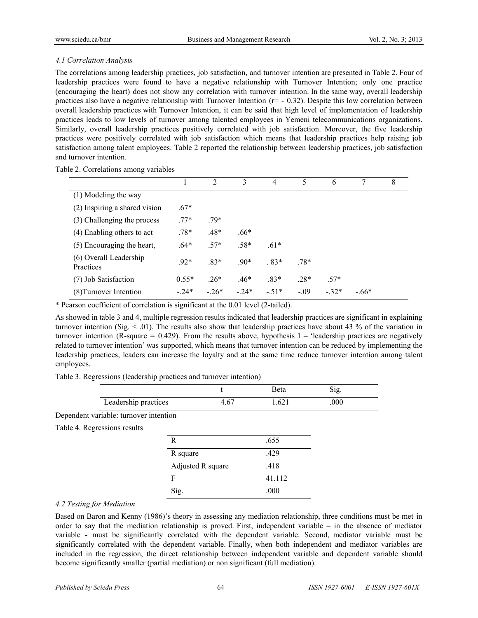## *4.1 Correlation Analysis*

The correlations among leadership practices, job satisfaction, and turnover intention are presented in Table 2. Four of leadership practices were found to have a negative relationship with Turnover Intention; only one practice (encouraging the heart) does not show any correlation with turnover intention. In the same way, overall leadership practices also have a negative relationship with Turnover Intention  $(r=-0.32)$ . Despite this low correlation between overall leadership practices with Turnover Intention, it can be said that high level of implementation of leadership practices leads to low levels of turnover among talented employees in Yemeni telecommunications organizations. Similarly, overall leadership practices positively correlated with job satisfaction. Moreover, the five leadership practices were positively correlated with job satisfaction which means that leadership practices help raising job satisfaction among talent employees. Table 2 reported the relationship between leadership practices, job satisfaction and turnover intention.

|                                     |         | $\mathfrak{D}$ | 3      | 4      | 5       | 6      |         | 8 |
|-------------------------------------|---------|----------------|--------|--------|---------|--------|---------|---|
| (1) Modeling the way                |         |                |        |        |         |        |         |   |
| (2) Inspiring a shared vision       | $.67*$  |                |        |        |         |        |         |   |
| (3) Challenging the process         | $.77*$  | 79*            |        |        |         |        |         |   |
| (4) Enabling others to act          | $.78*$  | .48*           | .66*   |        |         |        |         |   |
| (5) Encouraging the heart,          | $.64*$  | $.57*$         | .58*   | $.61*$ |         |        |         |   |
| (6) Overall Leadership<br>Practices | $.92*$  | $.83*$         | $.90*$ | $.83*$ | $.78*$  |        |         |   |
| (7) Job Satisfaction                | $0.55*$ | $.26*$         | $.46*$ | $.83*$ | $.28*$  | $.57*$ |         |   |
| (8) Turnover Intention              | $-24*$  | $-26*$         | $-24*$ | $-51*$ | $-0.09$ | $-32*$ | $-.66*$ |   |

Table 2. Correlations among variables

\* Pearson coefficient of correlation is significant at the 0.01 level (2-tailed).

As showed in table 3 and 4, multiple regression results indicated that leadership practices are significant in explaining turnover intention (Sig.  $\leq$  01). The results also show that leadership practices have about 43 % of the variation in turnover intention (R-square  $= 0.429$ ). From the results above, hypothesis 1 – 'leadership practices are negatively related to turnover intention' was supported, which means that turnover intention can be reduced by implementing the leadership practices, leaders can increase the loyalty and at the same time reduce turnover intention among talent employees.

Table 3. Regressions (leadership practices and turnover intention)

|                      | 3eta |     |
|----------------------|------|-----|
| Leadership practices | .621 | 000 |

Dependent variable: turnover intention

Table 4. Regressions results

| R                 | .655   |
|-------------------|--------|
| R square          | .429   |
| Adjusted R square | .418   |
| F                 | 41.112 |
| Sig.              | .000   |

## *4.2 Testing for Mediation*

Based on Baron and Kenny (1986)'s theory in assessing any mediation relationship, three conditions must be met in order to say that the mediation relationship is proved. First, independent variable – in the absence of mediator variable - must be significantly correlated with the dependent variable. Second, mediator variable must be significantly correlated with the dependent variable. Finally, when both independent and mediator variables are included in the regression, the direct relationship between independent variable and dependent variable should become significantly smaller (partial mediation) or non significant (full mediation).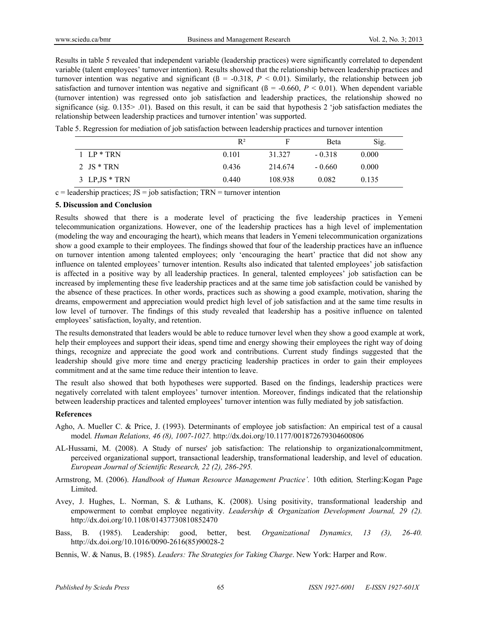Results in table 5 revealed that independent variable (leadership practices) were significantly correlated to dependent variable (talent employees' turnover intention). Results showed that the relationship between leadership practices and turnover intention was negative and significant  $(β = -0.318, P < 0.01)$ . Similarly, the relationship between job satisfaction and turnover intention was negative and significant  $(β = -0.660, P < 0.01)$ . When dependent variable (turnover intention) was regressed onto job satisfaction and leadership practices, the relationship showed no significance (sig. 0.135> .01). Based on this result, it can be said that hypothesis 2 'job satisfaction mediates the relationship between leadership practices and turnover intention' was supported.

Table 5. Regression for mediation of job satisfaction between leadership practices and turnover intention

|                  | $R^2$ |         | <b>B</b> eta | Sig.  |
|------------------|-------|---------|--------------|-------|
| $1$ LP $*$ TRN   | 0.101 | 31.327  | $-0.318$     | 0.000 |
| 2 JS $*$ TRN     | 0.436 | 214.674 | $-0.660$     | 0.000 |
| 3 LP, $JS * TRN$ | 0.440 | 108.938 | 0.082        | 0.135 |

 $c =$  leadership practices; JS = job satisfaction; TRN = turnover intention

#### **5. Discussion and Conclusion**

Results showed that there is a moderate level of practicing the five leadership practices in Yemeni telecommunication organizations. However, one of the leadership practices has a high level of implementation (modeling the way and encouraging the heart), which means that leaders in Yemeni telecommunication organizations show a good example to their employees. The findings showed that four of the leadership practices have an influence on turnover intention among talented employees; only 'encouraging the heart' practice that did not show any influence on talented employees' turnover intention. Results also indicated that talented employees' job satisfaction is affected in a positive way by all leadership practices. In general, talented employees' job satisfaction can be increased by implementing these five leadership practices and at the same time job satisfaction could be vanished by the absence of these practices. In other words, practices such as showing a good example, motivation, sharing the dreams, empowerment and appreciation would predict high level of job satisfaction and at the same time results in low level of turnover. The findings of this study revealed that leadership has a positive influence on talented employees' satisfaction, loyalty, and retention.

The results demonstrated that leaders would be able to reduce turnover level when they show a good example at work, help their employees and support their ideas, spend time and energy showing their employees the right way of doing things, recognize and appreciate the good work and contributions. Current study findings suggested that the leadership should give more time and energy practicing leadership practices in order to gain their employees commitment and at the same time reduce their intention to leave.

The result also showed that both hypotheses were supported. Based on the findings, leadership practices were negatively correlated with talent employees' turnover intention. Moreover, findings indicated that the relationship between leadership practices and talented employees' turnover intention was fully mediated by job satisfaction.

#### **References**

- Agho, A. Mueller C. & Price, J. (1993). Determinants of employee job satisfaction: An empirical test of a causal model*. Human Relations, 46 (8), 1007-1027.* http://dx.doi.org/10.1177/001872679304600806
- AL-Hussami, M. (2008). A Study of nurses' job satisfaction: The relationship to organizationalcommitment, perceived organizational support, transactional leadership, transformational leadership, and level of education. *European Journal of Scientific Research, 22 (2), 286-295.*
- Armstrong, M. (2006). *Handbook of Human Resource Management Practice'.* 10th edition*,* Sterling:Kogan Page Limited.
- Avey, J. Hughes, L. Norman, S. & Luthans, K. (2008). Using positivity, transformational leadership and empowerment to combat employee negativity. *Leadership & Organization Development Journal, 29 (2).*  http://dx.doi.org/10.1108/01437730810852470
- Bass, B. (1985). Leadership: good, better, best*. Organizational Dynamics, 13 (3), 26-40.*  http://dx.doi.org/10.1016/0090-2616(85)90028-2
- Bennis, W. & Nanus, B. (1985). *Leaders: The Strategies for Taking Charge*. New York: Harper and Row.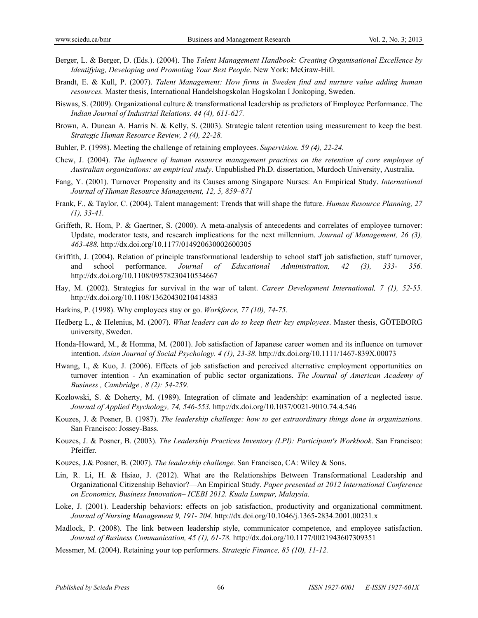- Berger, L. & Berger, D. (Eds.). (2004). The *Talent Management Handbook: Creating Organisational Excellence by Identifying, Developing and Promoting Your Best People*. New York: McGraw-Hill.
- Brandt, E. & Kull, P. (2007). *Talent Management: How firms in Sweden find and nurture value adding human resources.* Master thesis, International Handelshogskolan Hogskolan I Jonkoping, Sweden.
- Biswas, S. (2009). Organizational culture & transformational leadership as predictors of Employee Performance. The *Indian Journal of Industrial Relations. 44 (4), 611-627.*
- Brown, A. Duncan A. Harris N. & Kelly, S. (2003). Strategic talent retention using measurement to keep the best*. Strategic Human Resource Review, 2 (4), 22-28.*
- Buhler, P. (1998). Meeting the challenge of retaining employees. *Supervision. 59 (4), 22-24.*
- Chew, J. (2004). *The influence of human resource management practices on the retention of core employee of Australian organizations: an empirical study*. Unpublished Ph.D. dissertation, Murdoch University, Australia.
- Fang, Y. (2001). Turnover Propensity and its Causes among Singapore Nurses: An Empirical Study. *International Journal of Human Resource Management, 12, 5, 859–871*
- Frank, F., & Taylor, C. (2004). Talent management: Trends that will shape the future. *Human Resource Planning, 27 (1), 33-41.*
- Griffeth, R. Hom, P. & Gaertner, S. (2000). A meta-analysis of antecedents and correlates of employee turnover: Update, moderator tests, and research implications for the next millennium. *Journal of Management, 26 (3), 463-488.* http://dx.doi.org/10.1177/014920630002600305
- Griffith, J. (2004). Relation of principle transformational leadership to school staff job satisfaction, staff turnover, and school performance. *Journal of Educational Administration, 42 (3), 333- 356.*  http://dx.doi.org/10.1108/09578230410534667
- Hay, M. (2002). Strategies for survival in the war of talent. *Career Development International, 7 (1), 52-55.*  http://dx.doi.org/10.1108/13620430210414883
- Harkins, P. (1998). Why employees stay or go. *Workforce, 77 (10), 74-75.*
- Hedberg L., & Helenius, M. (2007). *What leaders can do to keep their key employees*. Master thesis, GÖTEBORG university, Sweden.
- Honda-Howard, M., & Homma, M*.* (2001). Job satisfaction of Japanese career women and its influence on turnover intention. *Asian Journal of Social Psychology. 4 (1), 23-38.* http://dx.doi.org/10.1111/1467-839X.00073
- Hwang, I., & Kuo, J. (2006). Effects of job satisfaction and perceived alternative employment opportunities on turnover intention - An examination of public sector organizations. *The Journal of American Academy of Business , Cambridge , 8 (2): 54-259.*
- Kozlowski, S. & Doherty, M. (1989). Integration of climate and leadership: examination of a neglected issue. *Journal of Applied Psychology, 74, 546-553.* http://dx.doi.org/10.1037/0021-9010.74.4.546
- Kouzes, J. & Posner, B. (1987). *The leadership challenge: how to get extraordinary things done in organizations.* San Francisco: Jossey-Bass.
- Kouzes, J. & Posner, B. (2003). *The Leadership Practices Inventory (LPI): Participant's Workbook*. San Francisco: Pfeiffer.
- Kouzes, J.& Posner, B. (2007). *The leadership challenge.* San Francisco, CA: Wiley & Sons.
- Lin, R. Li, H. & Hsiao, J. (2012). What are the Relationships Between Transformational Leadership and Organizational Citizenship Behavior?—An Empirical Study. *Paper presented at 2012 International Conference on Economics, Business Innovation– ICEBI 2012. Kuala Lumpur, Malaysia.*
- Loke, J. (2001). Leadership behaviors: effects on job satisfaction, productivity and organizational commitment. *Journal of Nursing Management 9, 191- 204.* http://dx.doi.org/10.1046/j.1365-2834.2001.00231.x
- Madlock, P. (2008). The link between leadership style, communicator competence, and employee satisfaction. *Journal of Business Communication, 45 (1), 61-78.* http://dx.doi.org/10.1177/0021943607309351
- Messmer, M. (2004). Retaining your top performers. *Strategic Finance, 85 (10), 11-12.*